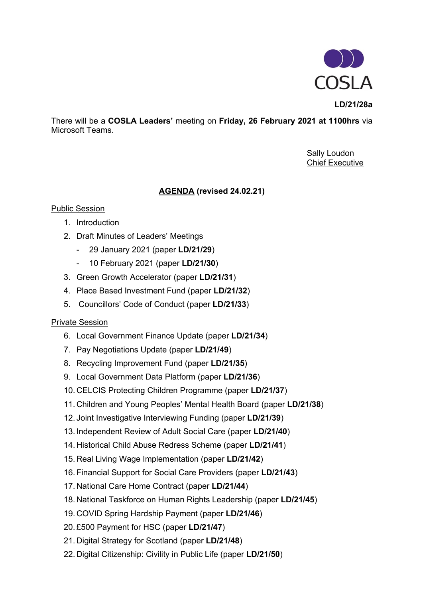

**LD/21/28a**

There will be a **COSLA Leaders'** meeting on **Friday, 26 February 2021 at 1100hrs** via Microsoft Teams.

> Sally Loudon Chief Executive

## **AGENDA (revised 24.02.21)**

## Public Session

- 1. Introduction
- 2. Draft Minutes of Leaders' Meetings
	- 29 January 2021 (paper **LD/21/29**)
	- 10 February 2021 (paper **LD/21/30**)
- 3. Green Growth Accelerator (paper **LD/21/31**)
- 4. Place Based Investment Fund (paper **LD/21/32**)
- 5. Councillors' Code of Conduct (paper **LD/21/33**)

## Private Session

- 6. Local Government Finance Update (paper **LD/21/34**)
- 7. Pay Negotiations Update (paper **LD/21/49**)
- 8. Recycling Improvement Fund (paper **LD/21/35**)
- 9. Local Government Data Platform (paper **LD/21/36**)
- 10. CELCIS Protecting Children Programme (paper **LD/21/37**)
- 11. Children and Young Peoples' Mental Health Board (paper **LD/21/38**)
- 12. Joint Investigative Interviewing Funding (paper **LD/21/39**)
- 13. Independent Review of Adult Social Care (paper **LD/21/40**)
- 14. Historical Child Abuse Redress Scheme (paper **LD/21/41**)
- 15. Real Living Wage Implementation (paper **LD/21/42**)
- 16. Financial Support for Social Care Providers (paper **LD/21/43**)
- 17. National Care Home Contract (paper **LD/21/44**)
- 18. National Taskforce on Human Rights Leadership (paper **LD/21/45**)
- 19. COVID Spring Hardship Payment (paper **LD/21/46**)
- 20. £500 Payment for HSC (paper **LD/21/47**)
- 21. Digital Strategy for Scotland (paper **LD/21/48**)
- 22. Digital Citizenship: Civility in Public Life (paper **LD/21/50**)